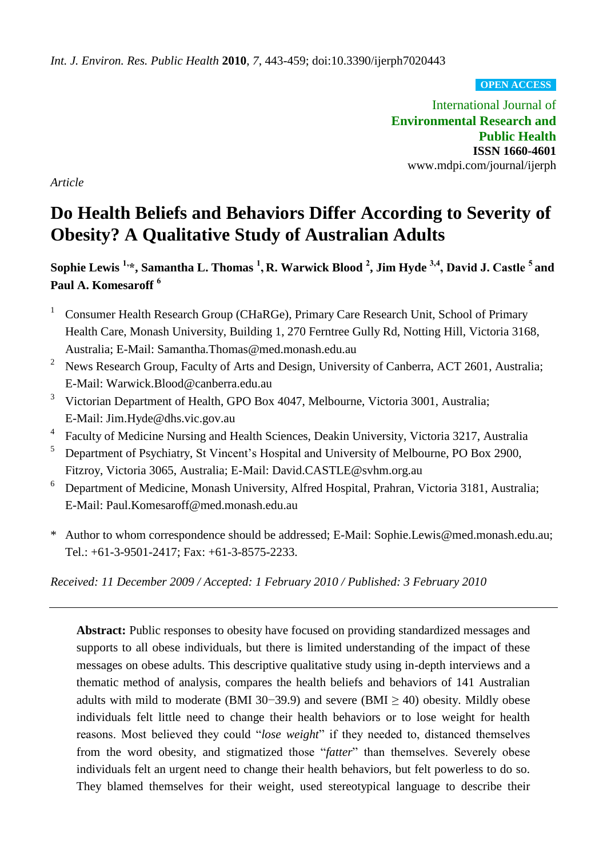**OPEN ACCESS**

International Journal of **Environmental Research and Public Health ISSN 1660-4601** www.mdpi.com/journal/ijerph

*Article*

# **Do Health Beliefs and Behaviors Differ According to Severity of Obesity? A Qualitative Study of Australian Adults**

**Sophie Lewis 1,\*, Samantha L. Thomas <sup>1</sup> , R. Warwick Blood <sup>2</sup> , Jim Hyde 3,4, David J. Castle <sup>5</sup>and Paul A. Komesaroff <sup>6</sup>**

- <sup>1</sup> Consumer Health Research Group (CHaRGe), Primary Care Research Unit, School of Primary Health Care, Monash University, Building 1, 270 Ferntree Gully Rd, Notting Hill, Victoria 3168, Australia; E-Mail: Samantha.Thomas@med.monash.edu.au
- <sup>2</sup> News Research Group, Faculty of Arts and Design, University of Canberra, ACT 2601, Australia; E-Mail: Warwick.Blood@canberra.edu.au
- <sup>3</sup> Victorian Department of Health, GPO Box 4047, Melbourne, Victoria 3001, Australia; E-Mail: Jim.Hyde@dhs.vic.gov.au
- 4 Faculty of Medicine Nursing and Health Sciences, Deakin University, Victoria 3217, Australia
- <sup>5</sup> Department of Psychiatry, St Vincent's Hospital and University of Melbourne, PO Box 2900, Fitzroy, Victoria 3065, Australia; E-Mail: David.CASTLE@svhm.org.au
- <sup>6</sup> Department of Medicine, Monash University, Alfred Hospital, Prahran, Victoria 3181, Australia; E-Mail: Paul.Komesaroff@med.monash.edu.au
- Author to whom correspondence should be addressed; E-Mail: Sophie.Lewis@med.monash.edu.au; Tel.: +61-3-9501-2417; Fax: +61-3-8575-2233.

*Received: 11 December 2009 / Accepted: 1 February 2010 / Published: 3 February 2010*

Abstract: Public responses to obesity have focused on providing standardized messages and supports to all obese individuals, but there is limited understanding of the impact of these messages on obese adults. This descriptive qualitative study using in-depth interviews and a thematic method of analysis, compares the health beliefs and behaviors of 141 Australian adults with mild to moderate (BMI 30–39.9) and severe (BMI  $\geq$  40) obesity. Mildly obese individuals felt little need to change their health behaviors or to lose weight for health reasons. Most believed they could "*lose weight*" if they needed to, distanced themselves from the word obesity, and stigmatized those "*fatter*" than themselves. Severely obese individuals felt an urgent need to change their health behaviors, but felt powerless to do so. They blamed themselves for their weight, used stereotypical language to describe their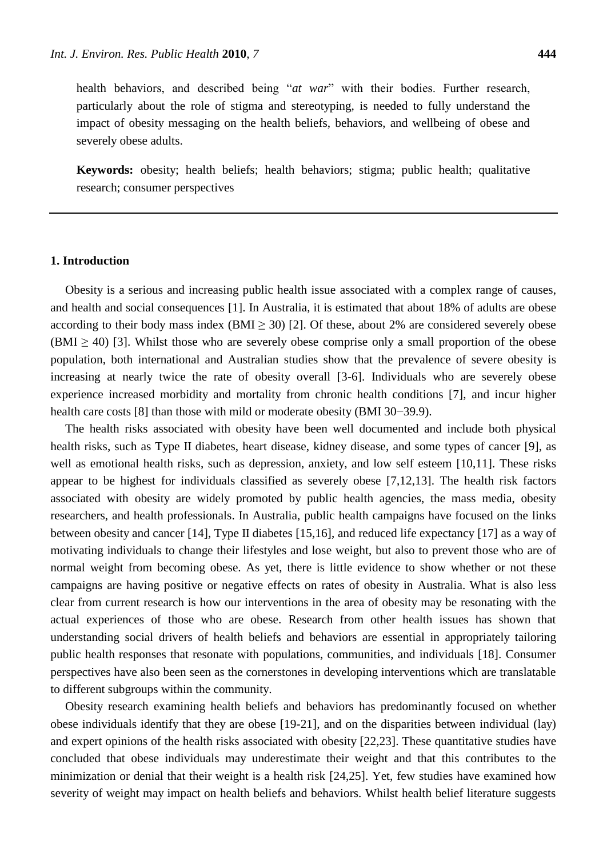health behaviors, and described being "*at war*" with their bodies. Further research, particularly about the role of stigma and stereotyping, is needed to fully understand the impact of obesity messaging on the health beliefs, behaviors, and wellbeing of obese and severely obese adults.

**Keywords:** obesity; health beliefs; health behaviors; stigma; public health; qualitative research; consumer perspectives

#### **1. Introduction**

Obesity is a serious and increasing public health issue associated with a complex range of causes, and health and social consequences [1]. In Australia, it is estimated that about 18% of adults are obese according to their body mass index (BMI  $\geq$  30) [2]. Of these, about 2% are considered severely obese  $(BMI \ge 40)$  [3]. Whilst those who are severely obese comprise only a small proportion of the obese population, both international and Australian studies show that the prevalence of severe obesity is increasing at nearly twice the rate of obesity overall [3-6]. Individuals who are severely obese experience increased morbidity and mortality from chronic health conditions [7], and incur higher health care costs [8] than those with mild or moderate obesity (BMI 30−39.9).

The health risks associated with obesity have been well documented and include both physical health risks, such as Type II diabetes, heart disease, kidney disease, and some types of cancer [9], as well as emotional health risks, such as depression, anxiety, and low self esteem [10,11]. These risks appear to be highest for individuals classified as severely obese [7,12,13]. The health risk factors associated with obesity are widely promoted by public health agencies, the mass media, obesity researchers, and health professionals. In Australia, public health campaigns have focused on the links between obesity and cancer [14], Type II diabetes [15,16], and reduced life expectancy [17] as a way of motivating individuals to change their lifestyles and lose weight, but also to prevent those who are of normal weight from becoming obese. As yet, there is little evidence to show whether or not these campaigns are having positive or negative effects on rates of obesity in Australia. What is also less clear from current research is how our interventions in the area of obesity may be resonating with the actual experiences of those who are obese. Research from other health issues has shown that understanding social drivers of health beliefs and behaviors are essential in appropriately tailoring public health responses that resonate with populations, communities, and individuals [18]. Consumer perspectives have also been seen as the cornerstones in developing interventions which are translatable to different subgroups within the community.

Obesity research examining health beliefs and behaviors has predominantly focused on whether obese individuals identify that they are obese [19-21], and on the disparities between individual (lay) and expert opinions of the health risks associated with obesity [22,23]. These quantitative studies have concluded that obese individuals may underestimate their weight and that this contributes to the minimization or denial that their weight is a health risk [24,25]. Yet, few studies have examined how severity of weight may impact on health beliefs and behaviors. Whilst health belief literature suggests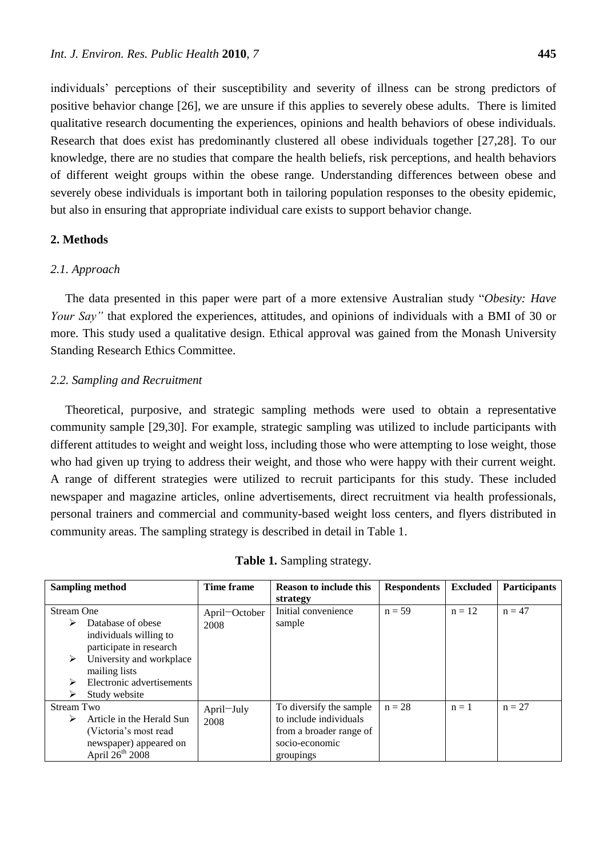individuals" perceptions of their susceptibility and severity of illness can be strong predictors of positive behavior change [26], we are unsure if this applies to severely obese adults. There is limited qualitative research documenting the experiences, opinions and health behaviors of obese individuals. Research that does exist has predominantly clustered all obese individuals together [27,28]. To our knowledge, there are no studies that compare the health beliefs, risk perceptions, and health behaviors of different weight groups within the obese range. Understanding differences between obese and severely obese individuals is important both in tailoring population responses to the obesity epidemic, but also in ensuring that appropriate individual care exists to support behavior change.

# **2. Methods**

# *2.1. Approach*

The data presented in this paper were part of a more extensive Australian study "*Obesity: Have Your Say"* that explored the experiences, attitudes, and opinions of individuals with a BMI of 30 or more. This study used a qualitative design. Ethical approval was gained from the Monash University Standing Research Ethics Committee.

# *2.2. Sampling and Recruitment*

Theoretical, purposive, and strategic sampling methods were used to obtain a representative community sample [29,30]. For example, strategic sampling was utilized to include participants with different attitudes to weight and weight loss, including those who were attempting to lose weight, those who had given up trying to address their weight, and those who were happy with their current weight. A range of different strategies were utilized to recruit participants for this study. These included newspaper and magazine articles, online advertisements, direct recruitment via health professionals, personal trainers and commercial and community-based weight loss centers, and flyers distributed in community areas. The sampling strategy is described in detail in Table 1.

| <b>Sampling method</b> |                           | <b>Time frame</b> | <b>Reason to include this</b> | <b>Respondents</b> | <b>Excluded</b> | <b>Participants</b> |
|------------------------|---------------------------|-------------------|-------------------------------|--------------------|-----------------|---------------------|
|                        |                           |                   | strategy                      |                    |                 |                     |
| Stream One             |                           | April-October     | Initial convenience           | $n = 59$           | $n = 12$        | $n = 47$            |
| ➤                      | Database of obese         | 2008              | sample                        |                    |                 |                     |
|                        | individuals willing to    |                   |                               |                    |                 |                     |
|                        | participate in research   |                   |                               |                    |                 |                     |
| ➤                      | University and workplace  |                   |                               |                    |                 |                     |
|                        | mailing lists             |                   |                               |                    |                 |                     |
| ➤                      | Electronic advertisements |                   |                               |                    |                 |                     |
| ➤                      | Study website             |                   |                               |                    |                 |                     |
| <b>Stream Two</b>      |                           | April-July        | To diversify the sample       | $n = 28$           | $n = 1$         | $n = 27$            |
| ➤                      | Article in the Herald Sun | 2008              | to include individuals        |                    |                 |                     |
|                        | (Victoria's most read     |                   | from a broader range of       |                    |                 |                     |
|                        | newspaper) appeared on    |                   | socio-economic                |                    |                 |                     |
|                        | April $26^{th}$ 2008      |                   | groupings                     |                    |                 |                     |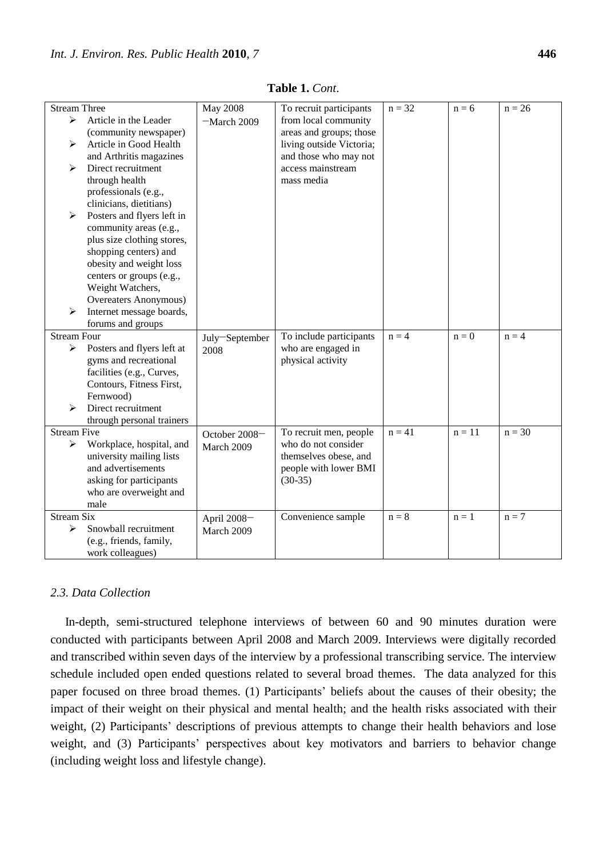| <b>Stream Three</b>   |                                                                                                                                                                                                                                                                                                                                                                                          |                                |                                                                                                                                                                    |          | $n = 6$  |          |
|-----------------------|------------------------------------------------------------------------------------------------------------------------------------------------------------------------------------------------------------------------------------------------------------------------------------------------------------------------------------------------------------------------------------------|--------------------------------|--------------------------------------------------------------------------------------------------------------------------------------------------------------------|----------|----------|----------|
| ➤<br>➤<br>⋗<br>➤      | Article in the Leader<br>(community newspaper)<br>Article in Good Health<br>and Arthritis magazines<br>Direct recruitment<br>through health<br>professionals (e.g.,<br>clinicians, dietitians)<br>Posters and flyers left in<br>community areas (e.g.,<br>plus size clothing stores,<br>shopping centers) and<br>obesity and weight loss<br>centers or groups (e.g.,<br>Weight Watchers, | <b>May 2008</b><br>-March 2009 | To recruit participants<br>from local community<br>areas and groups; those<br>living outside Victoria;<br>and those who may not<br>access mainstream<br>mass media | $n = 32$ |          | $n = 26$ |
|                       | <b>Overeaters Anonymous)</b>                                                                                                                                                                                                                                                                                                                                                             |                                |                                                                                                                                                                    |          |          |          |
| ➤                     | Internet message boards,<br>forums and groups                                                                                                                                                                                                                                                                                                                                            |                                |                                                                                                                                                                    |          |          |          |
| <b>Stream Four</b>    |                                                                                                                                                                                                                                                                                                                                                                                          | July-September                 | To include participants                                                                                                                                            | $n = 4$  | $n = 0$  | $n = 4$  |
| ➤                     | Posters and flyers left at                                                                                                                                                                                                                                                                                                                                                               | 2008                           | who are engaged in                                                                                                                                                 |          |          |          |
|                       | gyms and recreational                                                                                                                                                                                                                                                                                                                                                                    |                                | physical activity                                                                                                                                                  |          |          |          |
|                       | facilities (e.g., Curves,                                                                                                                                                                                                                                                                                                                                                                |                                |                                                                                                                                                                    |          |          |          |
|                       | Contours, Fitness First,                                                                                                                                                                                                                                                                                                                                                                 |                                |                                                                                                                                                                    |          |          |          |
|                       | Fernwood)                                                                                                                                                                                                                                                                                                                                                                                |                                |                                                                                                                                                                    |          |          |          |
| ⋗                     | Direct recruitment                                                                                                                                                                                                                                                                                                                                                                       |                                |                                                                                                                                                                    |          |          |          |
|                       | through personal trainers                                                                                                                                                                                                                                                                                                                                                                |                                |                                                                                                                                                                    |          |          |          |
| <b>Stream Five</b>    |                                                                                                                                                                                                                                                                                                                                                                                          | October 2008-                  | To recruit men, people                                                                                                                                             | $n = 41$ | $n = 11$ | $n = 30$ |
| $\blacktriangleright$ | Workplace, hospital, and                                                                                                                                                                                                                                                                                                                                                                 | March 2009                     | who do not consider                                                                                                                                                |          |          |          |
|                       | university mailing lists                                                                                                                                                                                                                                                                                                                                                                 |                                | themselves obese, and                                                                                                                                              |          |          |          |
|                       | and advertisements                                                                                                                                                                                                                                                                                                                                                                       |                                | people with lower BMI                                                                                                                                              |          |          |          |
|                       | asking for participants                                                                                                                                                                                                                                                                                                                                                                  |                                | $(30-35)$                                                                                                                                                          |          |          |          |
|                       | who are overweight and                                                                                                                                                                                                                                                                                                                                                                   |                                |                                                                                                                                                                    |          |          |          |
| male                  |                                                                                                                                                                                                                                                                                                                                                                                          |                                |                                                                                                                                                                    |          |          |          |
| <b>Stream Six</b>     |                                                                                                                                                                                                                                                                                                                                                                                          | April 2008-                    | Convenience sample                                                                                                                                                 | $n = 8$  | $n = 1$  | $n = 7$  |
| ⋗                     | Snowball recruitment                                                                                                                                                                                                                                                                                                                                                                     | March 2009                     |                                                                                                                                                                    |          |          |          |
|                       | (e.g., friends, family,                                                                                                                                                                                                                                                                                                                                                                  |                                |                                                                                                                                                                    |          |          |          |
|                       | work colleagues)                                                                                                                                                                                                                                                                                                                                                                         |                                |                                                                                                                                                                    |          |          |          |

**Table 1.** *Cont*.

#### *2.3. Data Collection*

In-depth, semi-structured telephone interviews of between 60 and 90 minutes duration were conducted with participants between April 2008 and March 2009. Interviews were digitally recorded and transcribed within seven days of the interview by a professional transcribing service. The interview schedule included open ended questions related to several broad themes. The data analyzed for this paper focused on three broad themes. (1) Participants' beliefs about the causes of their obesity; the impact of their weight on their physical and mental health; and the health risks associated with their weight, (2) Participants' descriptions of previous attempts to change their health behaviors and lose weight, and (3) Participants' perspectives about key motivators and barriers to behavior change (including weight loss and lifestyle change).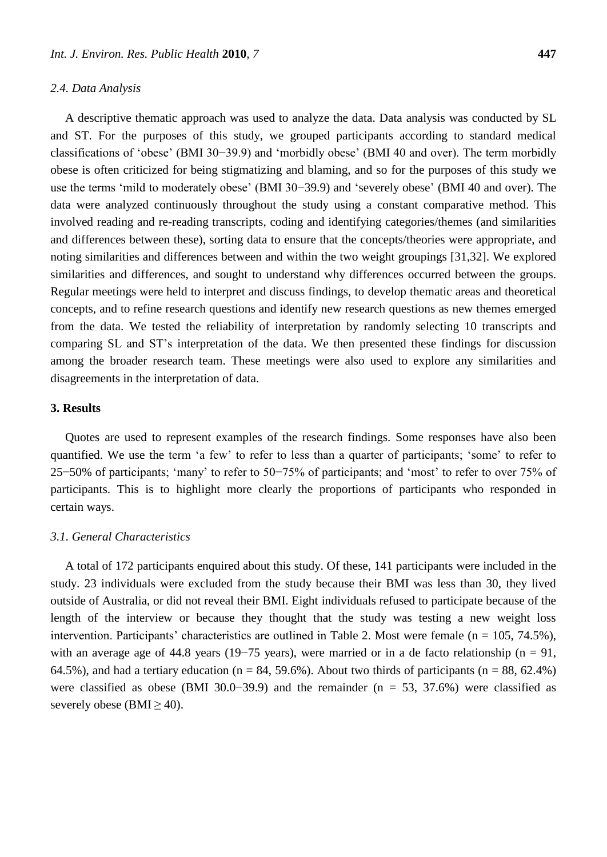#### *2.4. Data Analysis*

A descriptive thematic approach was used to analyze the data. Data analysis was conducted by SL and ST. For the purposes of this study, we grouped participants according to standard medical classifications of "obese" (BMI 30−39.9) and "morbidly obese" (BMI 40 and over). The term morbidly obese is often criticized for being stigmatizing and blaming, and so for the purposes of this study we use the terms "mild to moderately obese" (BMI 30−39.9) and "severely obese" (BMI 40 and over). The data were analyzed continuously throughout the study using a constant comparative method. This involved reading and re-reading transcripts, coding and identifying categories/themes (and similarities and differences between these), sorting data to ensure that the concepts/theories were appropriate, and noting similarities and differences between and within the two weight groupings [31,32]. We explored similarities and differences, and sought to understand why differences occurred between the groups. Regular meetings were held to interpret and discuss findings, to develop thematic areas and theoretical concepts, and to refine research questions and identify new research questions as new themes emerged from the data. We tested the reliability of interpretation by randomly selecting 10 transcripts and comparing SL and ST"s interpretation of the data. We then presented these findings for discussion among the broader research team. These meetings were also used to explore any similarities and disagreements in the interpretation of data.

#### **3. Results**

Quotes are used to represent examples of the research findings. Some responses have also been quantified. We use the term "a few" to refer to less than a quarter of participants; "some" to refer to 25−50% of participants; "many" to refer to 50−75% of participants; and "most" to refer to over 75% of participants. This is to highlight more clearly the proportions of participants who responded in certain ways.

#### *3.1. General Characteristics*

A total of 172 participants enquired about this study. Of these, 141 participants were included in the study. 23 individuals were excluded from the study because their BMI was less than 30, they lived outside of Australia, or did not reveal their BMI. Eight individuals refused to participate because of the length of the interview or because they thought that the study was testing a new weight loss intervention. Participants' characteristics are outlined in Table 2. Most were female ( $n = 105, 74.5\%$ ), with an average age of 44.8 years (19−75 years), were married or in a de facto relationship (n = 91, 64.5%), and had a tertiary education ( $n = 84$ , 59.6%). About two thirds of participants ( $n = 88$ , 62.4%) were classified as obese (BMI 30.0–39.9) and the remainder (n = 53, 37.6%) were classified as severely obese (BMI  $\geq$  40).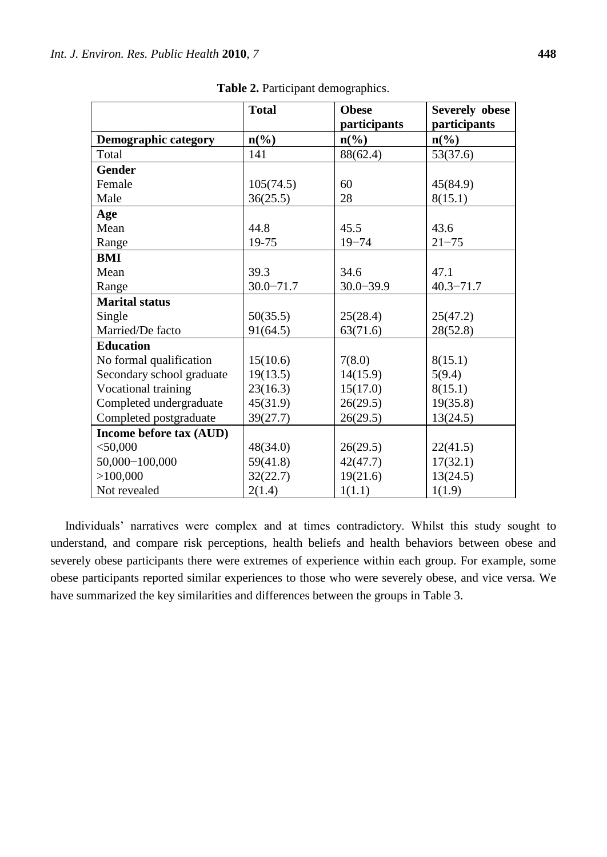|                             | <b>Total</b>                | <b>Obese</b>    | <b>Severely obese</b> |
|-----------------------------|-----------------------------|-----------------|-----------------------|
|                             |                             | participants    | participants          |
| <b>Demographic category</b> | $n\left(\frac{6}{6}\right)$ | $n\binom{0}{0}$ | $n\binom{0}{0}$       |
| Total                       | 141                         | 88(62.4)        | 53(37.6)              |
| <b>Gender</b>               |                             |                 |                       |
| Female                      | 105(74.5)                   | 60              | 45(84.9)              |
| Male                        | 36(25.5)                    | 28              | 8(15.1)               |
| Age                         |                             |                 |                       |
| Mean                        | 44.8                        | 45.5            | 43.6                  |
| Range                       | 19-75                       | $19 - 74$       | $21 - 75$             |
| <b>BMI</b>                  |                             |                 |                       |
| Mean                        | 39.3                        | 34.6            | 47.1                  |
| Range                       | $30.0 - 71.7$               | $30.0 - 39.9$   | $40.3 - 71.7$         |
| <b>Marital status</b>       |                             |                 |                       |
| Single                      | 50(35.5)                    | 25(28.4)        | 25(47.2)              |
| Married/De facto            | 91(64.5)                    | 63(71.6)        | 28(52.8)              |
| <b>Education</b>            |                             |                 |                       |
| No formal qualification     | 15(10.6)                    | 7(8.0)          | 8(15.1)               |
| Secondary school graduate   | 19(13.5)                    | 14(15.9)        | 5(9.4)                |
| Vocational training         | 23(16.3)                    | 15(17.0)        | 8(15.1)               |
| Completed undergraduate     | 45(31.9)                    | 26(29.5)        | 19(35.8)              |
| Completed postgraduate      | 39(27.7)                    | 26(29.5)        | 13(24.5)              |
| Income before tax (AUD)     |                             |                 |                       |
| $<$ 50,000                  | 48(34.0)                    | 26(29.5)        | 22(41.5)              |
| 50,000-100,000              | 59(41.8)                    | 42(47.7)        | 17(32.1)              |
| >100,000                    | 32(22.7)                    | 19(21.6)        | 13(24.5)              |
| Not revealed                | 2(1.4)                      | 1(1.1)          | 1(1.9)                |

**Table 2.** Participant demographics.

Individuals" narratives were complex and at times contradictory. Whilst this study sought to understand, and compare risk perceptions, health beliefs and health behaviors between obese and severely obese participants there were extremes of experience within each group. For example, some obese participants reported similar experiences to those who were severely obese, and vice versa. We have summarized the key similarities and differences between the groups in Table 3.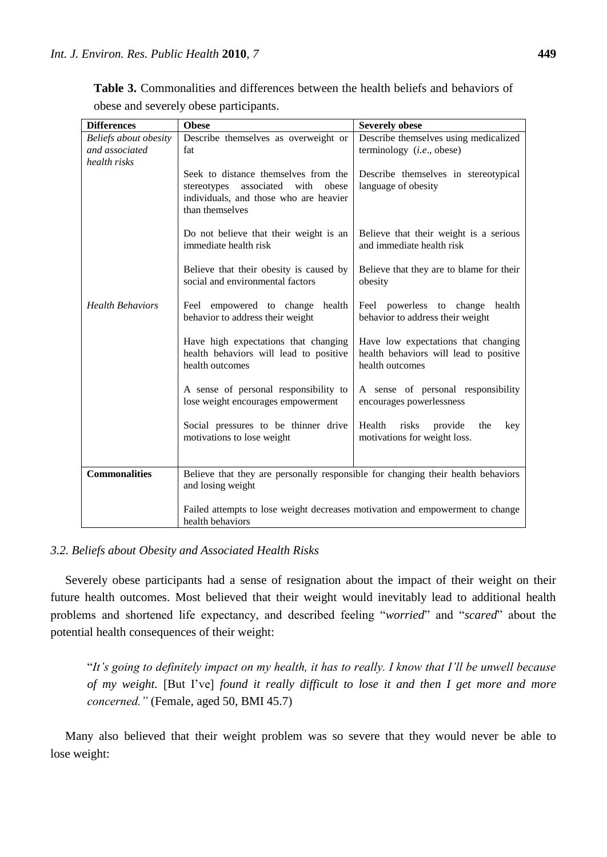| <b>Differences</b>      | <b>Obese</b>                                                                         | <b>Severely obese</b>                                     |  |  |
|-------------------------|--------------------------------------------------------------------------------------|-----------------------------------------------------------|--|--|
| Beliefs about obesity   | Describe themselves as overweight or                                                 | Describe themselves using medicalized                     |  |  |
| and associated          | fat                                                                                  | terminology (i.e., obese)                                 |  |  |
| health risks            |                                                                                      |                                                           |  |  |
|                         | Seek to distance themselves from the                                                 | Describe themselves in stereotypical                      |  |  |
|                         | associated<br>with<br>obese<br>stereotypes<br>individuals, and those who are heavier | language of obesity                                       |  |  |
|                         | than themselves                                                                      |                                                           |  |  |
|                         |                                                                                      |                                                           |  |  |
|                         | Do not believe that their weight is an                                               | Believe that their weight is a serious                    |  |  |
|                         | immediate health risk                                                                | and immediate health risk                                 |  |  |
|                         |                                                                                      |                                                           |  |  |
|                         | Believe that their obesity is caused by                                              | Believe that they are to blame for their                  |  |  |
|                         | social and environmental factors                                                     | obesity                                                   |  |  |
| <b>Health Behaviors</b> | Feel empowered to change health                                                      | Feel powerless to change<br>health                        |  |  |
|                         | behavior to address their weight                                                     | behavior to address their weight                          |  |  |
|                         |                                                                                      |                                                           |  |  |
|                         | Have high expectations that changing                                                 | Have low expectations that changing                       |  |  |
|                         | health behaviors will lead to positive<br>health outcomes                            | health behaviors will lead to positive<br>health outcomes |  |  |
|                         |                                                                                      |                                                           |  |  |
|                         | A sense of personal responsibility to                                                | A sense of personal responsibility                        |  |  |
|                         | lose weight encourages empowerment                                                   | encourages powerlessness                                  |  |  |
|                         |                                                                                      |                                                           |  |  |
|                         | Social pressures to be thinner drive                                                 | Health<br>risks<br>provide<br>the<br>key                  |  |  |
|                         | motivations to lose weight                                                           | motivations for weight loss.                              |  |  |
|                         |                                                                                      |                                                           |  |  |
| <b>Commonalities</b>    | Believe that they are personally responsible for changing their health behaviors     |                                                           |  |  |
|                         | and losing weight                                                                    |                                                           |  |  |
|                         |                                                                                      |                                                           |  |  |
|                         | Failed attempts to lose weight decreases motivation and empowerment to change        |                                                           |  |  |
|                         | health behaviors                                                                     |                                                           |  |  |

**Table 3.** Commonalities and differences between the health beliefs and behaviors of obese and severely obese participants.

#### *3.2. Beliefs about Obesity and Associated Health Risks*

Severely obese participants had a sense of resignation about the impact of their weight on their future health outcomes. Most believed that their weight would inevitably lead to additional health problems and shortened life expectancy, and described feeling "*worried*" and "*scared*" about the potential health consequences of their weight:

"*It"s going to definitely impact on my health, it has to really. I know that I"ll be unwell because of my weight.* [But I"ve] *found it really difficult to lose it and then I get more and more concerned."* (Female, aged 50, BMI 45.7)

Many also believed that their weight problem was so severe that they would never be able to lose weight: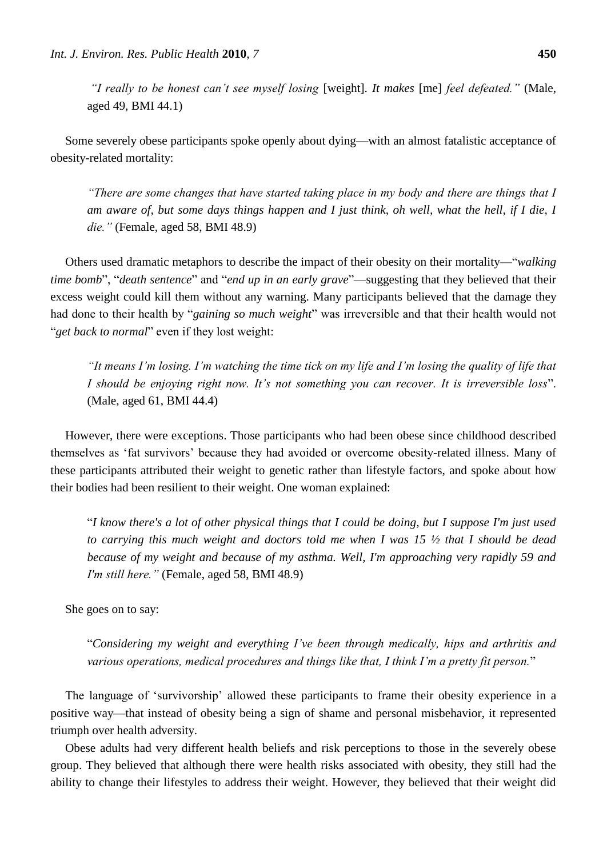*"I really to be honest can"t see myself losing* [weight]*. It makes* [me] *feel defeated."* (Male, aged 49, BMI 44.1)

Some severely obese participants spoke openly about dying—with an almost fatalistic acceptance of obesity-related mortality:

*"There are some changes that have started taking place in my body and there are things that I am aware of, but some days things happen and I just think, oh well, what the hell, if I die, I die."* (Female, aged 58, BMI 48.9)

Others used dramatic metaphors to describe the impact of their obesity on their mortality—"*walking time bomb*", "*death sentence*" and "*end up in an early grave*"—suggesting that they believed that their excess weight could kill them without any warning. Many participants believed that the damage they had done to their health by "*gaining so much weight*" was irreversible and that their health would not "*get back to normal*" even if they lost weight:

*"It means I"m losing. I"m watching the time tick on my life and I"m losing the quality of life that I should be enjoying right now. It"s not something you can recover. It is irreversible loss*". (Male, aged 61, BMI 44.4)

However, there were exceptions. Those participants who had been obese since childhood described themselves as "fat survivors" because they had avoided or overcome obesity-related illness. Many of these participants attributed their weight to genetic rather than lifestyle factors, and spoke about how their bodies had been resilient to their weight. One woman explained:

"*I know there's a lot of other physical things that I could be doing, but I suppose I'm just used to carrying this much weight and doctors told me when I was 15 ½ that I should be dead because of my weight and because of my asthma. Well, I'm approaching very rapidly 59 and I'm still here."* (Female, aged 58, BMI 48.9)

She goes on to say:

"*Considering my weight and everything I"ve been through medically, hips and arthritis and various operations, medical procedures and things like that, I think I"m a pretty fit person.*"

The language of "survivorship" allowed these participants to frame their obesity experience in a positive way—that instead of obesity being a sign of shame and personal misbehavior, it represented triumph over health adversity.

Obese adults had very different health beliefs and risk perceptions to those in the severely obese group. They believed that although there were health risks associated with obesity, they still had the ability to change their lifestyles to address their weight. However, they believed that their weight did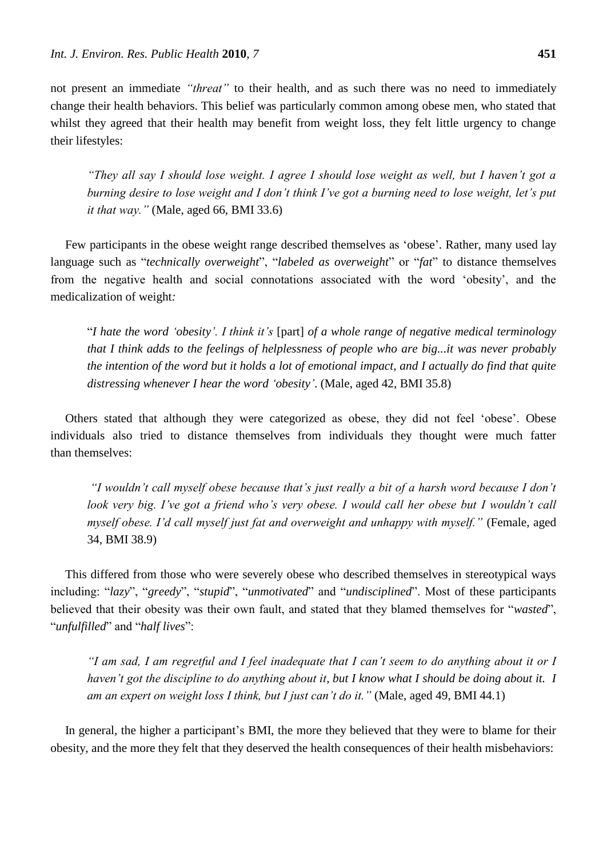not present an immediate *"threat"* to their health, and as such there was no need to immediately change their health behaviors. This belief was particularly common among obese men, who stated that whilst they agreed that their health may benefit from weight loss, they felt little urgency to change their lifestyles:

*"They all say I should lose weight. I agree I should lose weight as well, but I haven"t got a burning desire to lose weight and I don"t think I"ve got a burning need to lose weight, let"s put it that way."* (Male, aged 66, BMI 33.6)

Few participants in the obese weight range described themselves as 'obese'. Rather, many used lay language such as "*technically overweight*", "*labeled as overweight*" or "*fat*" to distance themselves from the negative health and social connotations associated with the word "obesity", and the medicalization of weight*:* 

"*I hate the word "obesity". I think it"s* [part] *of a whole range of negative medical terminology that I think adds to the feelings of helplessness of people who are big...it was never probably the intention of the word but it holds a lot of emotional impact, and I actually do find that quite distressing whenever I hear the word "obesity"*. (Male, aged 42, BMI 35.8)

Others stated that although they were categorized as obese, they did not feel "obese". Obese individuals also tried to distance themselves from individuals they thought were much fatter than themselves:

*"I wouldn"t call myself obese because that"s just really a bit of a harsh word because I don"t look very big. I"ve got a friend who"s very obese. I would call her obese but I wouldn"t call myself obese. I"d call myself just fat and overweight and unhappy with myself."* (Female, aged 34, BMI 38.9)

This differed from those who were severely obese who described themselves in stereotypical ways including: "*lazy*", "*greedy*", "*stupid*", "*unmotivated*" and "*undisciplined*". Most of these participants believed that their obesity was their own fault, and stated that they blamed themselves for "*wasted*", "*unfulfilled*" and "*half lives*":

*"I am sad, I am regretful and I feel inadequate that I can"t seem to do anything about it or I haven"t got the discipline to do anything about it, but I know what I should be doing about it. I am an expert on weight loss I think, but I just can"t do it."* (Male, aged 49, BMI 44.1)

In general, the higher a participant's BMI, the more they believed that they were to blame for their obesity, and the more they felt that they deserved the health consequences of their health misbehaviors: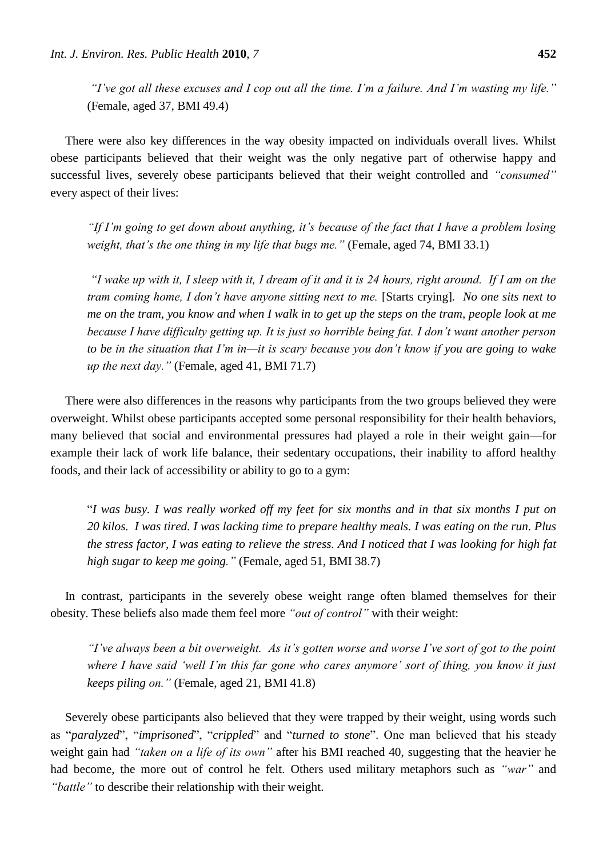*"I"ve got all these excuses and I cop out all the time. I"m a failure. And I"m wasting my life."* (Female, aged 37, BMI 49.4)

There were also key differences in the way obesity impacted on individuals overall lives. Whilst obese participants believed that their weight was the only negative part of otherwise happy and successful lives, severely obese participants believed that their weight controlled and *"consumed"* every aspect of their lives:

*"If I"m going to get down about anything, it"s because of the fact that I have a problem losing weight, that"s the one thing in my life that bugs me."* (Female, aged 74, BMI 33.1)

*"I wake up with it, I sleep with it, I dream of it and it is 24 hours, right around. If I am on the tram coming home, I don"t have anyone sitting next to me.* [Starts crying]*. No one sits next to me on the tram, you know and when I walk in to get up the steps on the tram, people look at me because I have difficulty getting up. It is just so horrible being fat. I don"t want another person to be in the situation that I"m in—it is scary because you don"t know if you are going to wake up the next day."* (Female, aged 41, BMI 71.7)

There were also differences in the reasons why participants from the two groups believed they were overweight. Whilst obese participants accepted some personal responsibility for their health behaviors, many believed that social and environmental pressures had played a role in their weight gain—for example their lack of work life balance, their sedentary occupations, their inability to afford healthy foods, and their lack of accessibility or ability to go to a gym:

"*I was busy. I was really worked off my feet for six months and in that six months I put on 20 kilos. I was tired. I was lacking time to prepare healthy meals. I was eating on the run. Plus the stress factor, I was eating to relieve the stress. And I noticed that I was looking for high fat high sugar to keep me going."* (Female, aged 51, BMI 38.7)

In contrast, participants in the severely obese weight range often blamed themselves for their obesity. These beliefs also made them feel more *"out of control"* with their weight:

*"I"ve always been a bit overweight. As it"s gotten worse and worse I"ve sort of got to the point where I have said "well I"m this far gone who cares anymore" sort of thing, you know it just keeps piling on."* (Female, aged 21, BMI 41.8)

Severely obese participants also believed that they were trapped by their weight, using words such as "*paralyzed*", "*imprisoned*", "*crippled*" and "*turned to stone*". One man believed that his steady weight gain had *"taken on a life of its own"* after his BMI reached 40, suggesting that the heavier he had become, the more out of control he felt. Others used military metaphors such as *"war"* and *"battle"* to describe their relationship with their weight.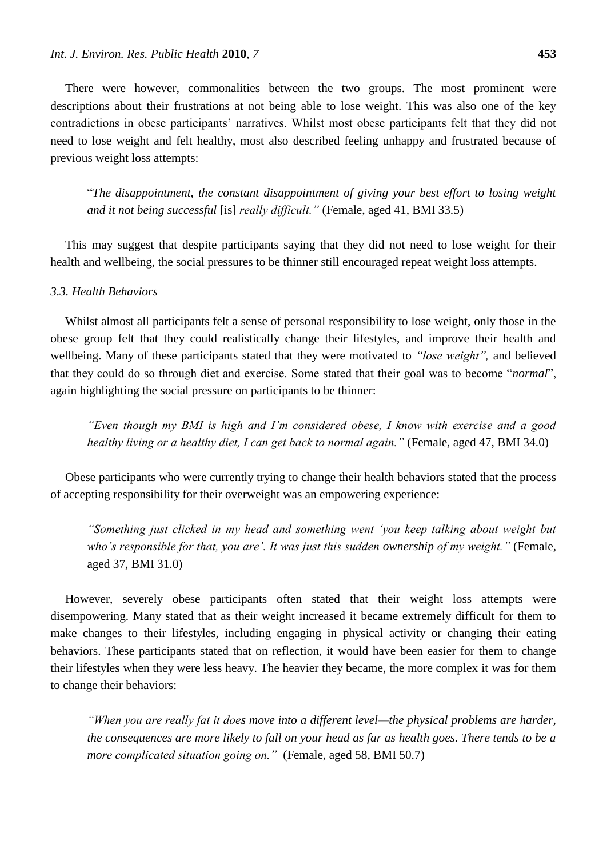There were however, commonalities between the two groups. The most prominent were descriptions about their frustrations at not being able to lose weight. This was also one of the key contradictions in obese participants" narratives. Whilst most obese participants felt that they did not need to lose weight and felt healthy, most also described feeling unhappy and frustrated because of previous weight loss attempts:

"*The disappointment, the constant disappointment of giving your best effort to losing weight and it not being successful* [is] *really difficult."* (Female, aged 41, BMI 33.5)

This may suggest that despite participants saying that they did not need to lose weight for their health and wellbeing, the social pressures to be thinner still encouraged repeat weight loss attempts.

## *3.3. Health Behaviors*

Whilst almost all participants felt a sense of personal responsibility to lose weight, only those in the obese group felt that they could realistically change their lifestyles, and improve their health and wellbeing. Many of these participants stated that they were motivated to *"lose weight",* and believed that they could do so through diet and exercise. Some stated that their goal was to become "*normal*", again highlighting the social pressure on participants to be thinner:

*"Even though my BMI is high and I"m considered obese, I know with exercise and a good healthy living or a healthy diet, I can get back to normal again."* (Female, aged 47, BMI 34.0)

Obese participants who were currently trying to change their health behaviors stated that the process of accepting responsibility for their overweight was an empowering experience:

*"Something just clicked in my head and something went "you keep talking about weight but who"s responsible for that, you are". It was just this sudden ownership of my weight."* (Female, aged 37, BMI 31.0)

However, severely obese participants often stated that their weight loss attempts were disempowering. Many stated that as their weight increased it became extremely difficult for them to make changes to their lifestyles, including engaging in physical activity or changing their eating behaviors. These participants stated that on reflection, it would have been easier for them to change their lifestyles when they were less heavy. The heavier they became, the more complex it was for them to change their behaviors:

*"When you are really fat it does move into a different level—the physical problems are harder, the consequences are more likely to fall on your head as far as health goes. There tends to be a more complicated situation going on."* (Female, aged 58, BMI 50.7)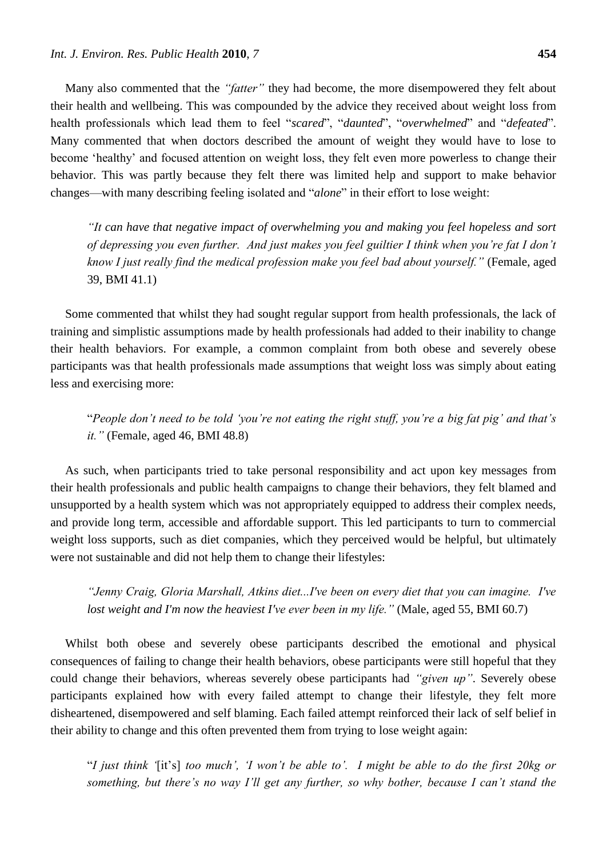Many also commented that the *"fatter"* they had become, the more disempowered they felt about their health and wellbeing. This was compounded by the advice they received about weight loss from health professionals which lead them to feel "*scared*", "*daunted*", "*overwhelmed*" and "*defeated*". Many commented that when doctors described the amount of weight they would have to lose to become "healthy" and focused attention on weight loss, they felt even more powerless to change their behavior. This was partly because they felt there was limited help and support to make behavior changes—with many describing feeling isolated and "*alone*" in their effort to lose weight:

*"It can have that negative impact of overwhelming you and making you feel hopeless and sort of depressing you even further. And just makes you feel guiltier I think when you"re fat I don"t know I just really find the medical profession make you feel bad about yourself."* (Female, aged 39, BMI 41.1)

Some commented that whilst they had sought regular support from health professionals, the lack of training and simplistic assumptions made by health professionals had added to their inability to change their health behaviors. For example, a common complaint from both obese and severely obese participants was that health professionals made assumptions that weight loss was simply about eating less and exercising more:

"*People don"t need to be told "you"re not eating the right stuff, you"re a big fat pig" and that"s it."* (Female, aged 46, BMI 48.8)

As such, when participants tried to take personal responsibility and act upon key messages from their health professionals and public health campaigns to change their behaviors, they felt blamed and unsupported by a health system which was not appropriately equipped to address their complex needs, and provide long term, accessible and affordable support. This led participants to turn to commercial weight loss supports, such as diet companies, which they perceived would be helpful, but ultimately were not sustainable and did not help them to change their lifestyles:

*"Jenny Craig, Gloria Marshall, Atkins diet...I've been on every diet that you can imagine. I've lost weight and I'm now the heaviest I've ever been in my life.*" (Male, aged 55, BMI 60.7)

Whilst both obese and severely obese participants described the emotional and physical consequences of failing to change their health behaviors, obese participants were still hopeful that they could change their behaviors, whereas severely obese participants had *"given up"*. Severely obese participants explained how with every failed attempt to change their lifestyle, they felt more disheartened, disempowered and self blaming. Each failed attempt reinforced their lack of self belief in their ability to change and this often prevented them from trying to lose weight again:

"*I just think "*[it"s] *too much", "I won"t be able to". I might be able to do the first 20kg or something, but there"s no way I"ll get any further, so why bother, because I can"t stand the*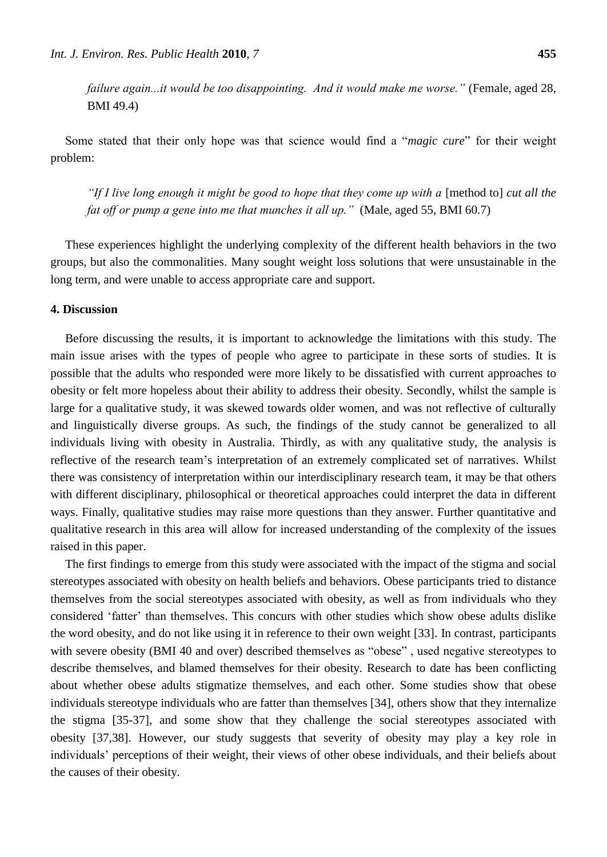*failure again...it would be too disappointing. And it would make me worse."* (Female, aged 28, BMI 49.4)

Some stated that their only hope was that science would find a "*magic cure*" for their weight problem:

*"If I live long enough it might be good to hope that they come up with a [method to] cut all the fat off or pump a gene into me that munches it all up.*" *(Male, aged 55, BMI 60.7)* 

These experiences highlight the underlying complexity of the different health behaviors in the two groups, but also the commonalities. Many sought weight loss solutions that were unsustainable in the long term, and were unable to access appropriate care and support.

## **4. Discussion**

Before discussing the results, it is important to acknowledge the limitations with this study. The main issue arises with the types of people who agree to participate in these sorts of studies. It is possible that the adults who responded were more likely to be dissatisfied with current approaches to obesity or felt more hopeless about their ability to address their obesity. Secondly, whilst the sample is large for a qualitative study, it was skewed towards older women, and was not reflective of culturally and linguistically diverse groups. As such, the findings of the study cannot be generalized to all individuals living with obesity in Australia. Thirdly, as with any qualitative study, the analysis is reflective of the research team"s interpretation of an extremely complicated set of narratives. Whilst there was consistency of interpretation within our interdisciplinary research team, it may be that others with different disciplinary, philosophical or theoretical approaches could interpret the data in different ways. Finally, qualitative studies may raise more questions than they answer. Further quantitative and qualitative research in this area will allow for increased understanding of the complexity of the issues raised in this paper.

The first findings to emerge from this study were associated with the impact of the stigma and social stereotypes associated with obesity on health beliefs and behaviors. Obese participants tried to distance themselves from the social stereotypes associated with obesity, as well as from individuals who they considered "fatter" than themselves. This concurs with other studies which show obese adults dislike the word obesity, and do not like using it in reference to their own weight [33]. In contrast, participants with severe obesity (BMI 40 and over) described themselves as "obese", used negative stereotypes to describe themselves, and blamed themselves for their obesity. Research to date has been conflicting about whether obese adults stigmatize themselves, and each other. Some studies show that obese individuals stereotype individuals who are fatter than themselves [34], others show that they internalize the stigma [35-37], and some show that they challenge the social stereotypes associated with obesity [37,38]. However, our study suggests that severity of obesity may play a key role in individuals" perceptions of their weight, their views of other obese individuals, and their beliefs about the causes of their obesity.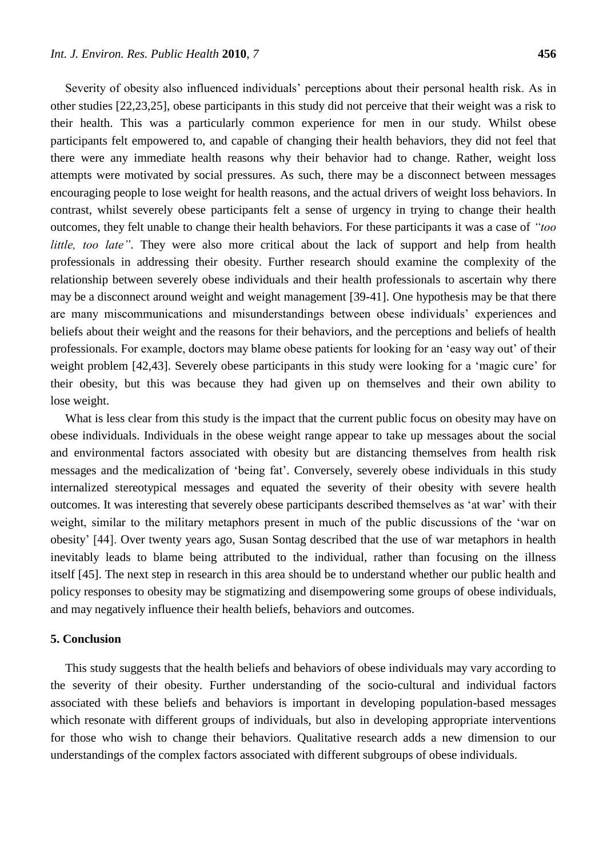Severity of obesity also influenced individuals" perceptions about their personal health risk. As in other studies [22,23,25], obese participants in this study did not perceive that their weight was a risk to their health. This was a particularly common experience for men in our study. Whilst obese participants felt empowered to, and capable of changing their health behaviors, they did not feel that there were any immediate health reasons why their behavior had to change. Rather, weight loss attempts were motivated by social pressures. As such, there may be a disconnect between messages encouraging people to lose weight for health reasons, and the actual drivers of weight loss behaviors. In contrast, whilst severely obese participants felt a sense of urgency in trying to change their health outcomes, they felt unable to change their health behaviors. For these participants it was a case of *"too little, too late"*. They were also more critical about the lack of support and help from health professionals in addressing their obesity. Further research should examine the complexity of the relationship between severely obese individuals and their health professionals to ascertain why there may be a disconnect around weight and weight management [39-41]. One hypothesis may be that there are many miscommunications and misunderstandings between obese individuals" experiences and beliefs about their weight and the reasons for their behaviors, and the perceptions and beliefs of health professionals. For example, doctors may blame obese patients for looking for an "easy way out" of their weight problem [42,43]. Severely obese participants in this study were looking for a 'magic cure' for their obesity, but this was because they had given up on themselves and their own ability to lose weight.

What is less clear from this study is the impact that the current public focus on obesity may have on obese individuals. Individuals in the obese weight range appear to take up messages about the social and environmental factors associated with obesity but are distancing themselves from health risk messages and the medicalization of "being fat". Conversely, severely obese individuals in this study internalized stereotypical messages and equated the severity of their obesity with severe health outcomes. It was interesting that severely obese participants described themselves as "at war" with their weight, similar to the military metaphors present in much of the public discussions of the "war on obesity" [44]. Over twenty years ago, Susan Sontag described that the use of war metaphors in health inevitably leads to blame being attributed to the individual, rather than focusing on the illness itself [45]. The next step in research in this area should be to understand whether our public health and policy responses to obesity may be stigmatizing and disempowering some groups of obese individuals, and may negatively influence their health beliefs, behaviors and outcomes.

#### **5. Conclusion**

This study suggests that the health beliefs and behaviors of obese individuals may vary according to the severity of their obesity. Further understanding of the socio-cultural and individual factors associated with these beliefs and behaviors is important in developing population-based messages which resonate with different groups of individuals, but also in developing appropriate interventions for those who wish to change their behaviors. Qualitative research adds a new dimension to our understandings of the complex factors associated with different subgroups of obese individuals.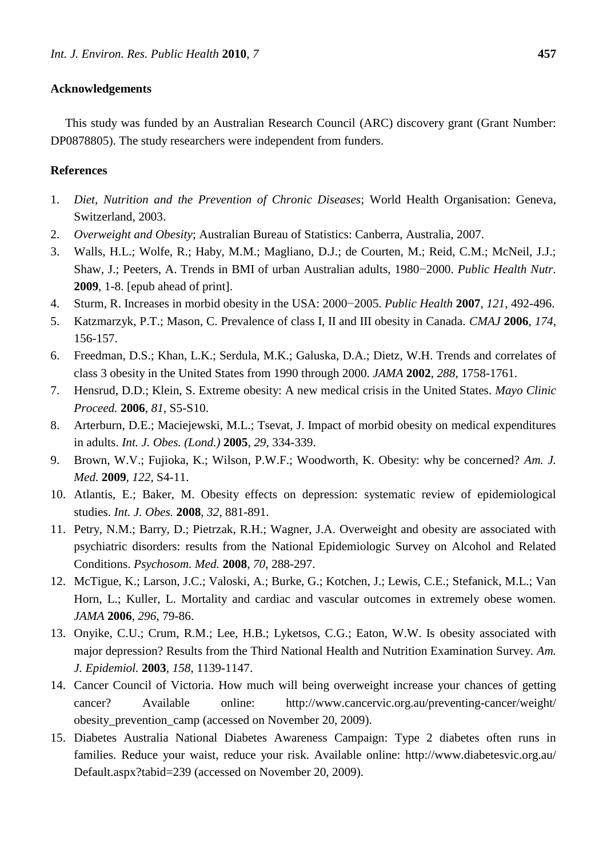## **Acknowledgements**

This study was funded by an Australian Research Council (ARC) discovery grant (Grant Number: DP0878805). The study researchers were independent from funders.

## **References**

- 1. *Diet, Nutrition and the Prevention of Chronic Diseases*; World Health Organisation: Geneva, Switzerland, 2003.
- 2. *Overweight and Obesity*; Australian Bureau of Statistics: Canberra, Australia, 2007.
- 3. Walls, H.L.; Wolfe, R.; Haby, M.M.; Magliano, D.J.; de Courten, M.; Reid, C.M.; McNeil, J.J.; Shaw, J.; Peeters, A. Trends in BMI of urban Australian adults, 1980−2000. *Public Health Nutr.* **2009**, 1-8. [epub ahead of print].
- 4. Sturm, R. Increases in morbid obesity in the USA: 2000−2005. *Public Health* **2007**, *121*, 492-496.
- 5. Katzmarzyk, P.T.; Mason, C. Prevalence of class I, II and III obesity in Canada. *CMAJ* **2006**, *174*, 156-157.
- 6. Freedman, D.S.; Khan, L.K.; Serdula, M.K.; Galuska, D.A.; Dietz, W.H. Trends and correlates of class 3 obesity in the United States from 1990 through 2000. *JAMA* **2002**, *288*, 1758-1761.
- 7. Hensrud, D.D.; Klein, S. Extreme obesity: A new medical crisis in the United States. *Mayo Clinic Proceed.* **2006**, *81*, S5-S10.
- 8. Arterburn, D.E.; Maciejewski, M.L.; Tsevat, J. Impact of morbid obesity on medical expenditures in adults. *Int. J. Obes. (Lond.)* **2005**, *29*, 334-339.
- 9. Brown, W.V.; Fujioka, K.; Wilson, P.W.F.; Woodworth, K. Obesity: why be concerned? *Am. J. Med.* **2009**, *122*, S4-11.
- 10. Atlantis, E.; Baker, M. Obesity effects on depression: systematic review of epidemiological studies. *Int. J. Obes.* **2008**, *32*, 881-891.
- 11. Petry, N.M.; Barry, D.; Pietrzak, R.H.; Wagner, J.A. Overweight and obesity are associated with psychiatric disorders: results from the National Epidemiologic Survey on Alcohol and Related Conditions. *Psychosom. Med.* **2008**, *70*, 288-297.
- 12. McTigue, K.; Larson, J.C.; Valoski, A.; Burke, G.; Kotchen, J.; Lewis, C.E.; Stefanick, M.L.; Van Horn, L.; Kuller, L. Mortality and cardiac and vascular outcomes in extremely obese women. *JAMA* **2006**, *296*, 79-86.
- 13. Onyike, C.U.; Crum, R.M.; Lee, H.B.; Lyketsos, C.G.; Eaton, W.W. Is obesity associated with major depression? Results from the Third National Health and Nutrition Examination Survey. *Am. J. Epidemiol.* **2003**, *158*, 1139-1147.
- 14. Cancer Council of Victoria. How much will being overweight increase your chances of getting cancer? Available online: http://www.cancervic.org.au/preventing-cancer/weight/ obesity prevention camp (accessed on November 20, 2009).
- 15. Diabetes Australia National Diabetes Awareness Campaign: Type 2 diabetes often runs in families. Reduce your waist, reduce your risk. Available online: http://www.diabetesvic.org.au/ Default.aspx?tabid=239 (accessed on November 20, 2009).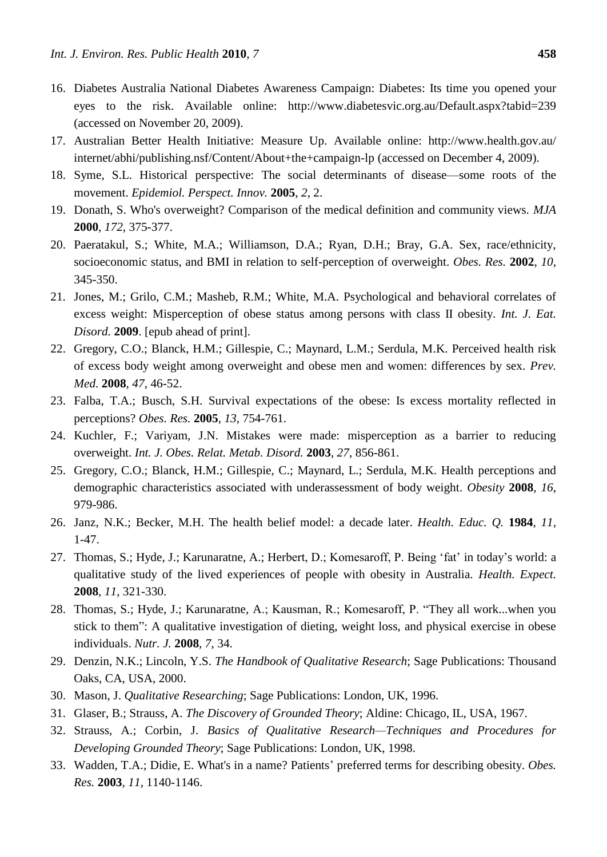- 16. Diabetes Australia National Diabetes Awareness Campaign: Diabetes: Its time you opened your eyes to the risk. Available online: http://www.diabetesvic.org.au/Default.aspx?tabid=239 (accessed on November 20, 2009).
- 17. Australian Better Health Initiative: Measure Up. Available online: http://www.health.gov.au/ internet/abhi/publishing.nsf/Content/About+the+campaign-lp (accessed on December 4, 2009).
- 18. Syme, S.L. Historical perspective: The social determinants of disease—some roots of the movement. *Epidemiol. Perspect. Innov.* **2005**, *2*, 2.
- 19. Donath, S. Who's overweight? Comparison of the medical definition and community views. *MJA*  **2000**, *172*, 375-377.
- 20. Paeratakul, S.; White, M.A.; Williamson, D.A.; Ryan, D.H.; Bray, G.A. Sex, race/ethnicity, socioeconomic status, and BMI in relation to self-perception of overweight. *Obes. Res.* **2002**, *10*, 345-350.
- 21. Jones, M.; Grilo, C.M.; Masheb, R.M.; White, M.A. Psychological and behavioral correlates of excess weight: Misperception of obese status among persons with class II obesity. *Int. J. Eat. Disord.* **2009**. [epub ahead of print].
- 22. Gregory, C.O.; Blanck, H.M.; Gillespie, C.; Maynard, L.M.; Serdula, M.K. Perceived health risk of excess body weight among overweight and obese men and women: differences by sex. *Prev. Med.* **2008**, *47*, 46-52.
- 23. Falba, T.A.; Busch, S.H. Survival expectations of the obese: Is excess mortality reflected in perceptions? *Obes. Res.* **2005**, *13*, 754-761.
- 24. Kuchler, F.; Variyam, J.N. Mistakes were made: misperception as a barrier to reducing overweight. *Int. J. Obes. Relat. Metab. Disord.* **2003**, *27*, 856-861.
- 25. Gregory, C.O.; Blanck, H.M.; Gillespie, C.; Maynard, L.; Serdula, M.K. Health perceptions and demographic characteristics associated with underassessment of body weight. *Obesity* **2008**, *16*, 979-986.
- 26. Janz, N.K.; Becker, M.H. The health belief model: a decade later. *Health. Educ. Q.* **1984**, *11*, 1-47.
- 27. Thomas, S.; Hyde, J.; Karunaratne, A.; Herbert, D.; Komesaroff, P. Being "fat" in today"s world: a qualitative study of the lived experiences of people with obesity in Australia. *Health. Expect.* **2008**, *11*, 321-330.
- 28. Thomas, S.; Hyde, J.; Karunaratne, A.; Kausman, R.; Komesaroff, P. "They all work...when you stick to them": A qualitative investigation of dieting, weight loss, and physical exercise in obese individuals. *Nutr. J.* **2008**, *7*, 34.
- 29. Denzin, N.K.; Lincoln, Y.S. *The Handbook of Qualitative Research*; Sage Publications: Thousand Oaks, CA, USA, 2000.
- 30. Mason, J. *Qualitative Researching*; Sage Publications: London, UK, 1996.
- 31. Glaser, B.; Strauss, A. *The Discovery of Grounded Theory*; Aldine: Chicago, IL, USA, 1967.
- 32. Strauss, A.; Corbin, J. *Basics of Qualitative Research—Techniques and Procedures for Developing Grounded Theory*; Sage Publications: London, UK, 1998.
- 33. Wadden, T.A.; Didie, E. What's in a name? Patients" preferred terms for describing obesity. *Obes. Res.* **2003**, *11*, 1140-1146.